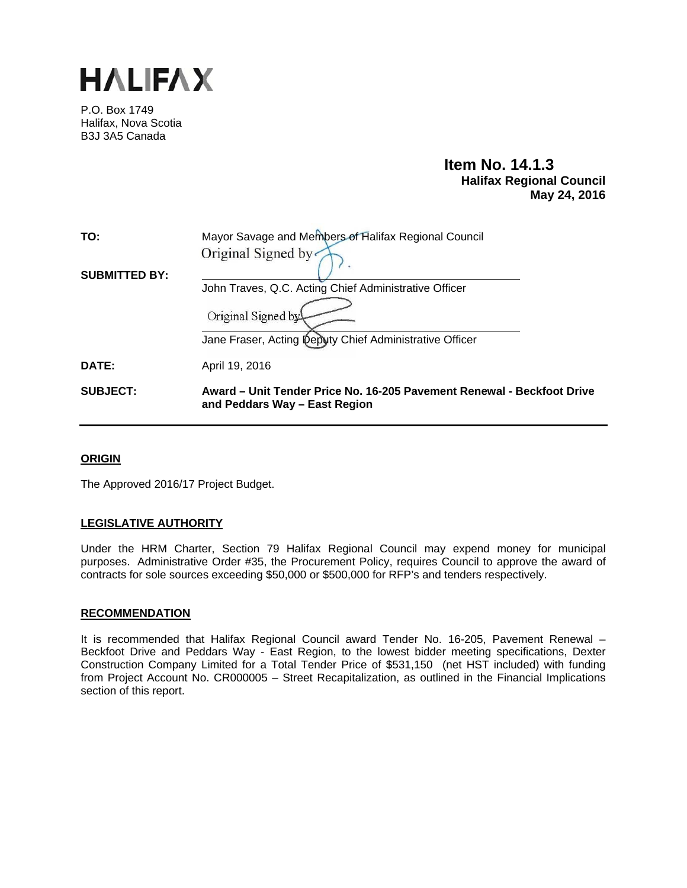

P.O. Box 1749 Halifax, Nova Scotia B3J 3A5 Canada

# **Item No. 14.1.3 Halifax Regional Council May 24, 2016**

| TO:                  | Mayor Savage and Members of Halifax Regional Council                                                    |
|----------------------|---------------------------------------------------------------------------------------------------------|
|                      | Original Signed by                                                                                      |
| <b>SUBMITTED BY:</b> |                                                                                                         |
|                      | John Traves, Q.C. Acting Chief Administrative Officer                                                   |
|                      | Original Signed by                                                                                      |
|                      | Jane Fraser, Acting Deputy Chief Administrative Officer                                                 |
| DATE:                | April 19, 2016                                                                                          |
| <b>SUBJECT:</b>      | Award – Unit Tender Price No. 16-205 Pavement Renewal - Beckfoot Drive<br>and Peddars Way - East Region |

# **ORIGIN**

The Approved 2016/17 Project Budget.

# **LEGISLATIVE AUTHORITY**

Under the HRM Charter, Section 79 Halifax Regional Council may expend money for municipal purposes. Administrative Order #35, the Procurement Policy, requires Council to approve the award of contracts for sole sources exceeding \$50,000 or \$500,000 for RFP's and tenders respectively.

# **RECOMMENDATION**

It is recommended that Halifax Regional Council award Tender No. 16-205, Pavement Renewal – Beckfoot Drive and Peddars Way - East Region, to the lowest bidder meeting specifications, Dexter Construction Company Limited for a Total Tender Price of \$531,150 (net HST included) with funding from Project Account No. CR000005 – Street Recapitalization, as outlined in the Financial Implications section of this report.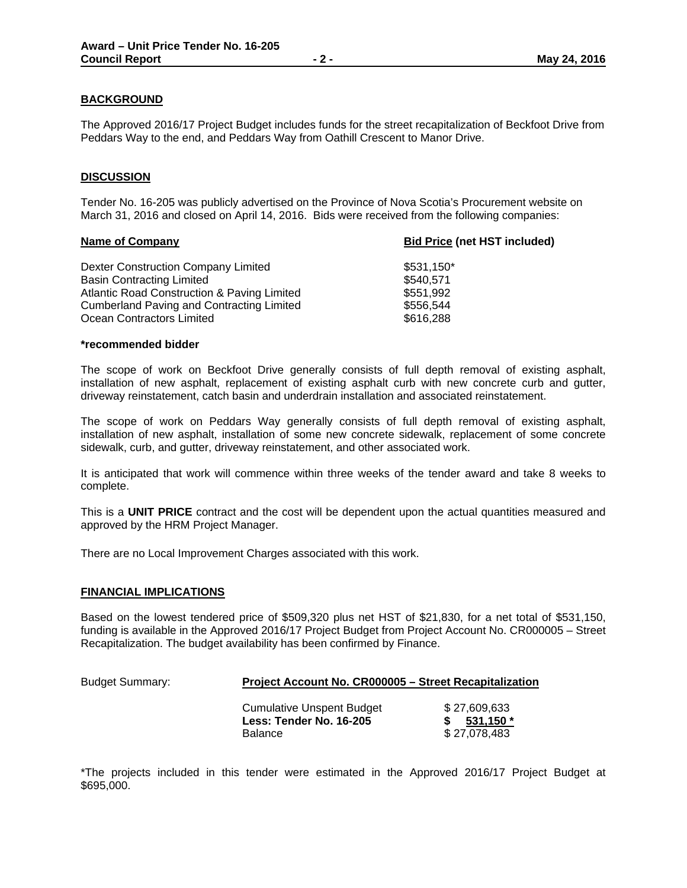# **BACKGROUND**

The Approved 2016/17 Project Budget includes funds for the street recapitalization of Beckfoot Drive from Peddars Way to the end, and Peddars Way from Oathill Crescent to Manor Drive.

## **DISCUSSION**

Tender No. 16-205 was publicly advertised on the Province of Nova Scotia's Procurement website on March 31, 2016 and closed on April 14, 2016. Bids were received from the following companies:

| <b>Bid Price (net HST included)</b> |  |
|-------------------------------------|--|
| \$531,150*                          |  |
| \$540,571                           |  |
| \$551.992                           |  |
| \$556.544                           |  |
| \$616,288                           |  |
|                                     |  |

#### **\*recommended bidder**

The scope of work on Beckfoot Drive generally consists of full depth removal of existing asphalt, installation of new asphalt, replacement of existing asphalt curb with new concrete curb and gutter, driveway reinstatement, catch basin and underdrain installation and associated reinstatement.

The scope of work on Peddars Way generally consists of full depth removal of existing asphalt, installation of new asphalt, installation of some new concrete sidewalk, replacement of some concrete sidewalk, curb, and gutter, driveway reinstatement, and other associated work.

It is anticipated that work will commence within three weeks of the tender award and take 8 weeks to complete.

This is a **UNIT PRICE** contract and the cost will be dependent upon the actual quantities measured and approved by the HRM Project Manager.

There are no Local Improvement Charges associated with this work.

## **FINANCIAL IMPLICATIONS**

Based on the lowest tendered price of \$509,320 plus net HST of \$21,830, for a net total of \$531,150, funding is available in the Approved 2016/17 Project Budget from Project Account No. CR000005 – Street Recapitalization. The budget availability has been confirmed by Finance.

## Budget Summary: **Project Account No. CR000005 – Street Recapitalization**

 Cumulative Unspent Budget \$ 27,609,633 **Less: Tender No. 16-205 \$ 531,150 \***  Balance \$ 27,078,483

\*The projects included in this tender were estimated in the Approved 2016/17 Project Budget at \$695,000.